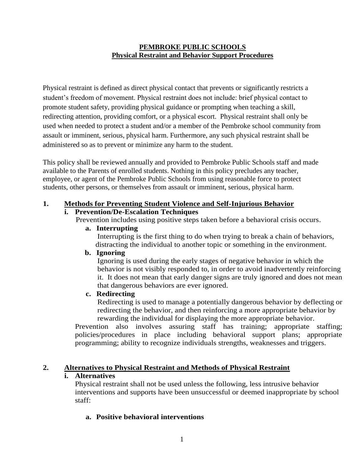#### **PEMBROKE PUBLIC SCHOOLS Physical Restraint and Behavior Support Procedures**

Physical restraint is defined as direct physical contact that prevents or significantly restricts a student's freedom of movement. Physical restraint does not include: brief physical contact to promote student safety, providing physical guidance or prompting when teaching a skill, redirecting attention, providing comfort, or a physical escort. Physical restraint shall only be used when needed to protect a student and/or a member of the Pembroke school community from assault or imminent, serious, physical harm. Furthermore, any such physical restraint shall be administered so as to prevent or minimize any harm to the student.

This policy shall be reviewed annually and provided to Pembroke Public Schools staff and made available to the Parents of enrolled students. Nothing in this policy precludes any teacher, employee, or agent of the Pembroke Public Schools from using reasonable force to protect students, other persons, or themselves from assault or imminent, serious, physical harm.

## **1. Methods for Preventing Student Violence and Self-Injurious Behavior**

### **i. Prevention/De-Escalation Techniques**

Prevention includes using positive steps taken before a behavioral crisis occurs.

#### **a. Interrupting**

 Interrupting is the first thing to do when trying to break a chain of behaviors, distracting the individual to another topic or something in the environment.

#### **b. Ignoring**

 Ignoring is used during the early stages of negative behavior in which the behavior is not visibly responded to, in order to avoid inadvertently reinforcing it. It does not mean that early danger signs are truly ignored and does not mean that dangerous behaviors are ever ignored.

## **c. Redirecting**

 Redirecting is used to manage a potentially dangerous behavior by deflecting or redirecting the behavior, and then reinforcing a more appropriate behavior by rewarding the individual for displaying the more appropriate behavior.

Prevention also involves assuring staff has training; appropriate staffing; policies/procedures in place including behavioral support plans; appropriate programming; ability to recognize individuals strengths, weaknesses and triggers.

### **2. Alternatives to Physical Restraint and Methods of Physical Restraint**

### **i. Alternatives**

Physical restraint shall not be used unless the following, less intrusive behavior interventions and supports have been unsuccessful or deemed inappropriate by school staff:

### **a. Positive behavioral interventions**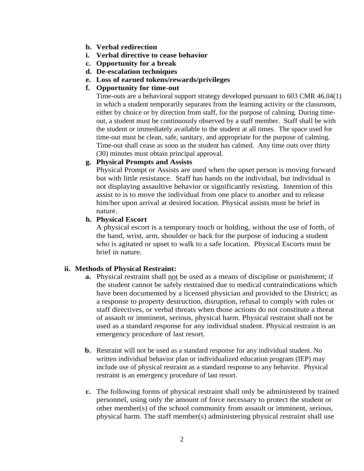- **b. Verbal redirection**
- **i. Verbal directive to cease behavior**
- **c. Opportunity for a break**
- **d. De-escalation techniques**
- **e. Loss of earned tokens/rewards/privileges**

#### **f. Opportunity for time-out**

Time-outs are a behavioral support strategy developed pursuant to 603 CMR 46.04(1) in which a student temporarily separates from the learning activity or the classroom, either by choice or by direction from staff, for the purpose of calming. During timeout, a student must be continuously observed by a staff member. Staff shall be with the student or immediately available to the student at all times. The space used for time-out must be clean, safe, sanitary, and appropriate for the purpose of calming. Time-out shall cease as soon as the student has calmed. Any time outs over thirty (30) minutes must obtain principal approval.

### **g. Physical Prompts and Assists**

Physical Prompt or Assists are used when the upset person is moving forward but with little resistance. Staff has hands on the individual, but individual is not displaying assaultive behavior or significantly resisting. Intention of this assist to is to move the individual from one place to another and to release him/her upon arrival at desired location. Physical assists must be brief in nature.

#### **h. Physical Escort**

A physical escort is a temporary touch or holding, without the use of forth, of the hand, wrist, arm, shoulder or back for the purpose of inducing a student who is agitated or upset to walk to a safe location. Physical Escorts must be brief in nature.

### **ii. Methods of Physical Restraint:**

- **a.** Physical restraint shall not be used as a means of discipline or punishment; if the student cannot be safely restrained due to medical contraindications which have been documented by a licensed physician and provided to the District; as a response to property destruction, disruption, refusal to comply with rules or staff directives, or verbal threats when those actions do not constitute a threat of assault or imminent, serious, physical harm. Physical restraint shall not be used as a standard response for any individual student. Physical restraint is an emergency procedure of last resort.
- **b.** Restraint will not be used as a standard response for any individual student. No written individual behavior plan or individualized education program (IEP) may include use of physical restraint as a standard response to any behavior. Physical restraint is an emergency procedure of last resort.
- **c.** The following forms of physical restraint shall only be administered by trained personnel, using only the amount of force necessary to protect the student or other member(s) of the school community from assault or imminent, serious, physical harm. The staff member(s) administering physical restraint shall use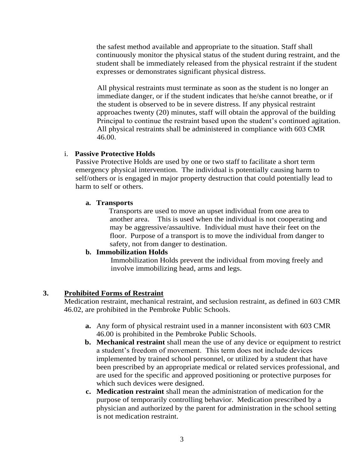the safest method available and appropriate to the situation. Staff shall continuously monitor the physical status of the student during restraint, and the student shall be immediately released from the physical restraint if the student expresses or demonstrates significant physical distress.

 All physical restraints must terminate as soon as the student is no longer an immediate danger, or if the student indicates that he/she cannot breathe, or if the student is observed to be in severe distress. If any physical restraint approaches twenty (20) minutes, staff will obtain the approval of the building Principal to continue the restraint based upon the student's continued agitation. All physical restraints shall be administered in compliance with 603 CMR 46.00.

#### i. **Passive Protective Holds**

 Passive Protective Holds are used by one or two staff to facilitate a short term emergency physical intervention. The individual is potentially causing harm to self/others or is engaged in major property destruction that could potentially lead to harm to self or others.

#### **a. Transports**

Transports are used to move an upset individual from one area to another area. This is used when the individual is not cooperating and may be aggressive/assaultive. Individual must have their feet on the floor. Purpose of a transport is to move the individual from danger to safety, not from danger to destination.

## **b. Immobilization Holds**

 Immobilization Holds prevent the individual from moving freely and involve immobilizing head, arms and legs.

### **3. Prohibited Forms of Restraint**

Medication restraint, mechanical restraint, and seclusion restraint, as defined in 603 CMR 46.02, are prohibited in the Pembroke Public Schools.

- **a.** Any form of physical restraint used in a manner inconsistent with 603 CMR 46.00 is prohibited in the Pembroke Public Schools.
- **b. Mechanical restraint** shall mean the use of any device or equipment to restrict a student's freedom of movement. This term does not include devices implemented by trained school personnel, or utilized by a student that have been prescribed by an appropriate medical or related services professional, and are used for the specific and approved positioning or protective purposes for which such devices were designed.
- **c. Medication restraint** shall mean the administration of medication for the purpose of temporarily controlling behavior. Medication prescribed by a physician and authorized by the parent for administration in the school setting is not medication restraint.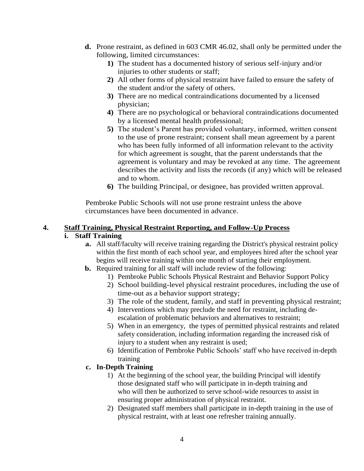- **d.** Prone restraint, as defined in 603 CMR 46.02, shall only be permitted under the following, limited circumstances:
	- **1)** The student has a documented history of serious self-injury and/or injuries to other students or staff;
	- **2)** All other forms of physical restraint have failed to ensure the safety of the student and/or the safety of others.
	- **3)** There are no medical contraindications documented by a licensed physician;
	- **4)** There are no psychological or behavioral contraindications documented by a licensed mental health professional;
	- **5)** The student's Parent has provided voluntary, informed, written consent to the use of prone restraint; consent shall mean agreement by a parent who has been fully informed of all information relevant to the activity for which agreement is sought, that the parent understands that the agreement is voluntary and may be revoked at any time. The agreement describes the activity and lists the records (if any) which will be released and to whom.
	- **6)** The building Principal, or designee, has provided written approval.

Pembroke Public Schools will not use prone restraint unless the above circumstances have been documented in advance.

## **4. Staff Training, Physical Restraint Reporting, and Follow-Up Process**

## **i. Staff Training**

- **a.** All staff/faculty will receive training regarding the District's physical restraint policy within the first month of each school year, and employees hired after the school year begins will receive training within one month of starting their employment.
- **b.** Required training for all staff will include review of the following:
	- 1) Pembroke Public Schools Physical Restraint and Behavior Support Policy
	- 2) School building-level physical restraint procedures, including the use of time-out as a behavior support strategy;
	- 3) The role of the student, family, and staff in preventing physical restraint;
	- 4) Interventions which may preclude the need for restraint, including deescalation of problematic behaviors and alternatives to restraint;
	- 5) When in an emergency, the types of permitted physical restraints and related safety consideration, including information regarding the increased risk of injury to a student when any restraint is used;
	- 6) Identification of Pembroke Public Schools' staff who have received in-depth training

# **c. In-Depth Training**

- 1) At the beginning of the school year, the building Principal will identify those designated staff who will participate in in-depth training and who will then be authorized to serve school-wide resources to assist in ensuring proper administration of physical restraint.
- 2) Designated staff members shall participate in in-depth training in the use of physical restraint, with at least one refresher training annually.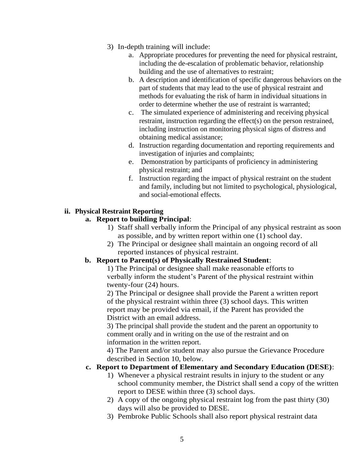- 3) In-depth training will include:
	- a. Appropriate procedures for preventing the need for physical restraint, including the de-escalation of problematic behavior, relationship building and the use of alternatives to restraint;
	- b. A description and identification of specific dangerous behaviors on the part of students that may lead to the use of physical restraint and methods for evaluating the risk of harm in individual situations in order to determine whether the use of restraint is warranted;
	- c. The simulated experience of administering and receiving physical restraint, instruction regarding the effect(s) on the person restrained, including instruction on monitoring physical signs of distress and obtaining medical assistance;
	- d. Instruction regarding documentation and reporting requirements and investigation of injuries and complaints;
	- e. Demonstration by participants of proficiency in administering physical restraint; and
	- f. Instruction regarding the impact of physical restraint on the student and family, including but not limited to psychological, physiological, and social-emotional effects.

## **ii. Physical Restraint Reporting**

## **a. Report to building Principal**:

- 1) Staff shall verbally inform the Principal of any physical restraint as soon as possible, and by written report within one (1) school day.
- 2) The Principal or designee shall maintain an ongoing record of all reported instances of physical restraint.

# **b. Report to Parent(s) of Physically Restrained Student**:

1) The Principal or designee shall make reasonable efforts to verbally inform the student's Parent of the physical restraint within twenty-four (24) hours.

2) The Principal or designee shall provide the Parent a written report of the physical restraint within three (3) school days. This written report may be provided via email, if the Parent has provided the District with an email address.

3) The principal shall provide the student and the parent an opportunity to comment orally and in writing on the use of the restraint and on information in the written report.

4) The Parent and/or student may also pursue the Grievance Procedure described in Section 10, below.

### **c. Report to Department of Elementary and Secondary Education (DESE)**:

- 1) Whenever a physical restraint results in injury to the student or any school community member, the District shall send a copy of the written report to DESE within three (3) school days.
- 2) A copy of the ongoing physical restraint log from the past thirty (30) days will also be provided to DESE.
- 3) Pembroke Public Schools shall also report physical restraint data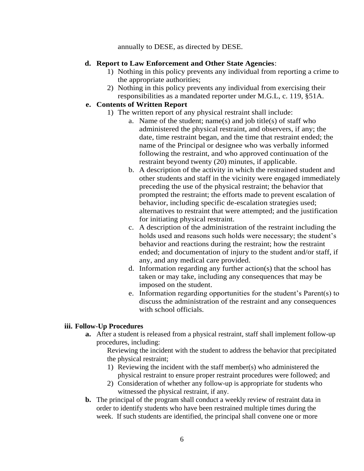annually to DESE, as directed by DESE.

#### **d. Report to Law Enforcement and Other State Agencies**:

- 1) Nothing in this policy prevents any individual from reporting a crime to the appropriate authorities;
- 2) Nothing in this policy prevents any individual from exercising their responsibilities as a mandated reporter under M.G.L, c. 119, §51A.

### **e. Contents of Written Report**

- 1) The written report of any physical restraint shall include:
	- a. Name of the student; name(s) and job title(s) of staff who administered the physical restraint, and observers, if any; the date, time restraint began, and the time that restraint ended; the name of the Principal or designee who was verbally informed following the restraint, and who approved continuation of the restraint beyond twenty (20) minutes, if applicable.
	- b. A description of the activity in which the restrained student and other students and staff in the vicinity were engaged immediately preceding the use of the physical restraint; the behavior that prompted the restraint; the efforts made to prevent escalation of behavior, including specific de-escalation strategies used; alternatives to restraint that were attempted; and the justification for initiating physical restraint.
	- c. A description of the administration of the restraint including the holds used and reasons such holds were necessary; the student's behavior and reactions during the restraint; how the restraint ended; and documentation of injury to the student and/or staff, if any, and any medical care provided.
	- d. Information regarding any further action(s) that the school has taken or may take, including any consequences that may be imposed on the student.
	- e. Information regarding opportunities for the student's Parent(s) to discuss the administration of the restraint and any consequences with school officials.

### **iii. Follow-Up Procedures**

**a.** After a student is released from a physical restraint, staff shall implement follow-up procedures, including:

Reviewing the incident with the student to address the behavior that precipitated the physical restraint;

- 1) Reviewing the incident with the staff member(s) who administered the physical restraint to ensure proper restraint procedures were followed; and
- 2) Consideration of whether any follow-up is appropriate for students who witnessed the physical restraint, if any.
- **b.** The principal of the program shall conduct a weekly review of restraint data in order to identify students who have been restrained multiple times during the week. If such students are identified, the principal shall convene one or more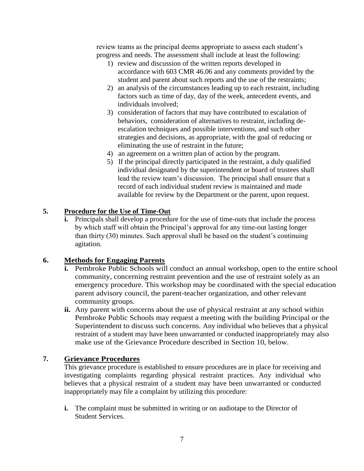review teams as the principal deems appropriate to assess each student's progress and needs. The assessment shall include at least the following:

- 1) review and discussion of the written reports developed in accordance with 603 CMR 46.06 and any comments provided by the student and parent about such reports and the use of the restraints;
- 2) an analysis of the circumstances leading up to each restraint, including factors such as time of day, day of the week, antecedent events, and individuals involved;
- 3) consideration of factors that may have contributed to escalation of behaviors, consideration of alternatives to restraint, including deescalation techniques and possible interventions, and such other strategies and decisions, as appropriate, with the goal of reducing or eliminating the use of restraint in the future;
- 4) an agreement on a written plan of action by the program.
- 5) If the principal directly participated in the restraint, a duly qualified individual designated by the superintendent or board of trustees shall lead the review team's discussion. The principal shall ensure that a record of each individual student review is maintained and made available for review by the Department or the parent, upon request.

## **5. Procedure for the Use of Time-Out**

**i.** Principals shall develop a procedure for the use of time-outs that include the process by which staff will obtain the Principal's approval for any time-out lasting longer than thirty (30) minutes. Such approval shall be based on the student's continuing agitation.

# **6. Methods for Engaging Parents**

- **i.** Pembroke Public Schools will conduct an annual workshop, open to the entire school community, concerning restraint prevention and the use of restraint solely as an emergency procedure. This workshop may be coordinated with the special education parent advisory council, the parent-teacher organization, and other relevant community groups.
- **ii.** Any parent with concerns about the use of physical restraint at any school within Pembroke Public Schools may request a meeting with the building Principal or the Superintendent to discuss such concerns. Any individual who believes that a physical restraint of a student may have been unwarranted or conducted inappropriately may also make use of the Grievance Procedure described in Section 10, below.

### **7. Grievance Procedures**

This grievance procedure is established to ensure procedures are in place for receiving and investigating complaints regarding physical restraint practices. Any individual who believes that a physical restraint of a student may have been unwarranted or conducted inappropriately may file a complaint by utilizing this procedure:

**i.** The complaint must be submitted in writing or on audiotape to the Director of Student Services.